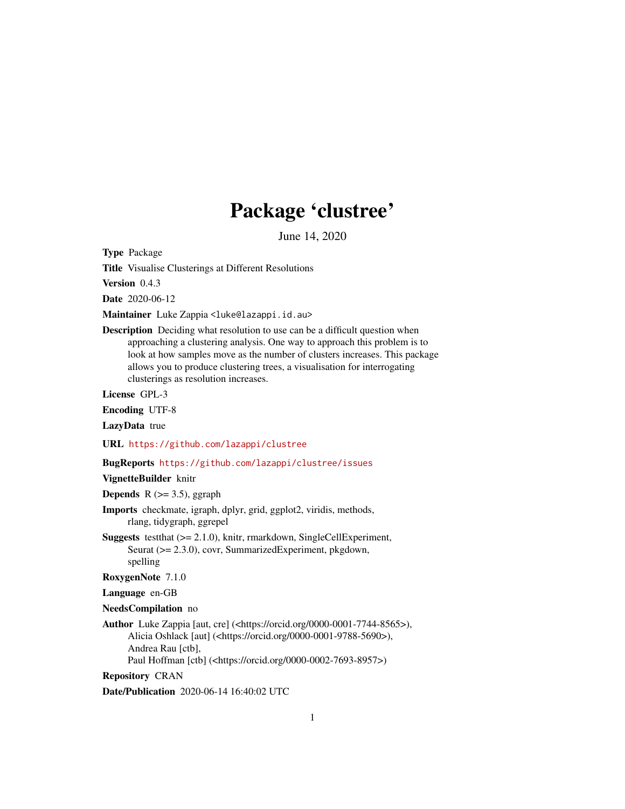## Package 'clustree'

June 14, 2020

<span id="page-0-0"></span>Type Package

Title Visualise Clusterings at Different Resolutions

Version 0.4.3

Date 2020-06-12

Maintainer Luke Zappia <luke@lazappi.id.au>

Description Deciding what resolution to use can be a difficult question when approaching a clustering analysis. One way to approach this problem is to look at how samples move as the number of clusters increases. This package allows you to produce clustering trees, a visualisation for interrogating clusterings as resolution increases.

License GPL-3

Encoding UTF-8

LazyData true

URL <https://github.com/lazappi/clustree>

#### BugReports <https://github.com/lazappi/clustree/issues>

VignetteBuilder knitr

**Depends** R  $(>= 3.5)$ , ggraph

- Imports checkmate, igraph, dplyr, grid, ggplot2, viridis, methods, rlang, tidygraph, ggrepel
- Suggests testthat (>= 2.1.0), knitr, rmarkdown, SingleCellExperiment, Seurat (>= 2.3.0), covr, SummarizedExperiment, pkgdown, spelling
- RoxygenNote 7.1.0

Language en-GB

- NeedsCompilation no
- Author Luke Zappia [aut, cre] (<https://orcid.org/0000-0001-7744-8565>), Alicia Oshlack [aut] (<https://orcid.org/0000-0001-9788-5690>), Andrea Rau [ctb], Paul Hoffman [ctb] (<https://orcid.org/0000-0002-7693-8957>)

Repository CRAN

Date/Publication 2020-06-14 16:40:02 UTC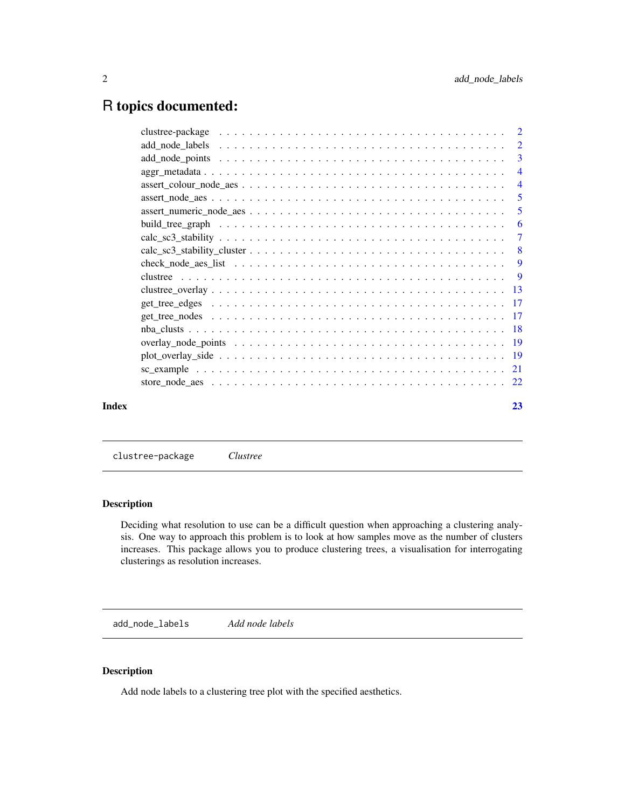## <span id="page-1-0"></span>R topics documented:

|       | $\overline{4}$ |
|-------|----------------|
|       | -5             |
|       | -5             |
|       | -6             |
|       | -7             |
|       |                |
|       |                |
|       |                |
|       |                |
|       |                |
|       |                |
|       |                |
|       |                |
|       |                |
|       |                |
|       |                |
| Index | 23             |
|       |                |

clustree-package *Clustree*

## Description

Deciding what resolution to use can be a difficult question when approaching a clustering analysis. One way to approach this problem is to look at how samples move as the number of clusters increases. This package allows you to produce clustering trees, a visualisation for interrogating clusterings as resolution increases.

add\_node\_labels *Add node labels*

## Description

Add node labels to a clustering tree plot with the specified aesthetics.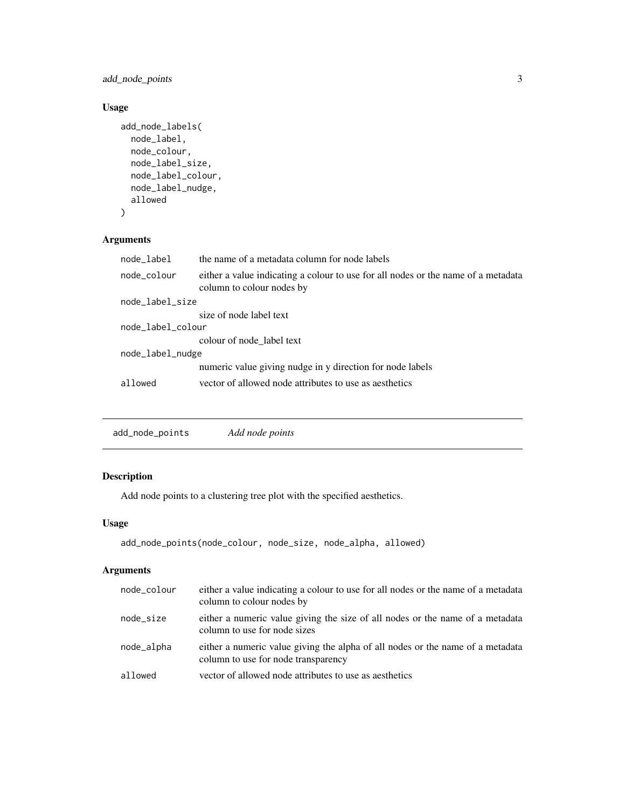<span id="page-2-0"></span>add\_node\_points 3

## Usage

```
add_node_labels(
 node_label,
 node_colour,
 node_label_size,
 node_label_colour,
 node_label_nudge,
  allowed
)
```
## Arguments

| node_label        | the name of a metadata column for node labels                                                                  |  |
|-------------------|----------------------------------------------------------------------------------------------------------------|--|
| node_colour       | either a value indicating a colour to use for all nodes or the name of a metadata<br>column to colour nodes by |  |
| node_label_size   |                                                                                                                |  |
|                   | size of node label text                                                                                        |  |
| node_label_colour |                                                                                                                |  |
|                   | colour of node_label text                                                                                      |  |
| node_label_nudge  |                                                                                                                |  |
|                   | numeric value giving nudge in y direction for node labels                                                      |  |
| allowed           | vector of allowed node attributes to use as aesthetics                                                         |  |
|                   |                                                                                                                |  |

add\_node\_points *Add node points*

## Description

Add node points to a clustering tree plot with the specified aesthetics.

## Usage

```
add_node_points(node_colour, node_size, node_alpha, allowed)
```
## Arguments

| node_colour | either a value indicating a colour to use for all nodes or the name of a metadata<br>column to colour nodes by        |
|-------------|-----------------------------------------------------------------------------------------------------------------------|
| node_size   | either a numeric value giving the size of all nodes or the name of a metadata<br>column to use for node sizes         |
| node_alpha  | either a numeric value giving the alpha of all nodes or the name of a metadata<br>column to use for node transparency |
| allowed     | vector of allowed node attributes to use as aesthetics                                                                |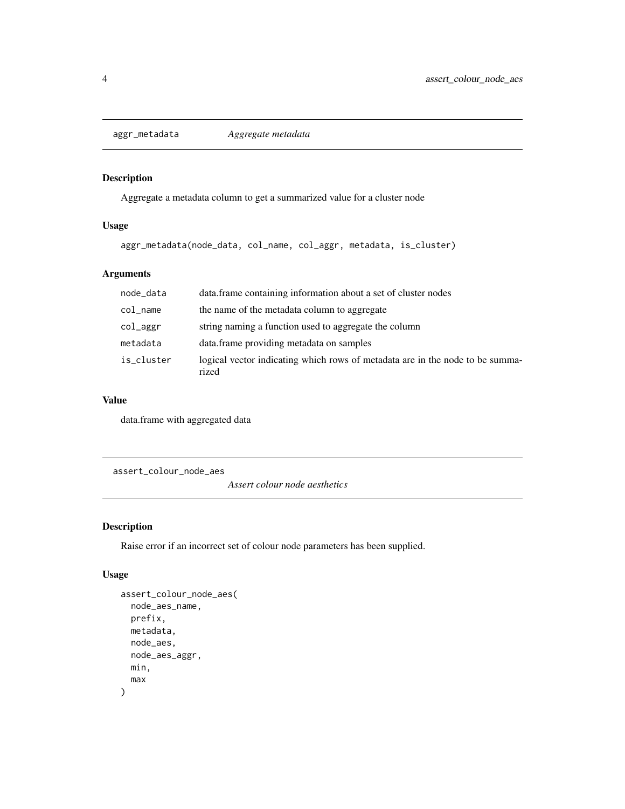<span id="page-3-0"></span>aggr\_metadata *Aggregate metadata*

## Description

Aggregate a metadata column to get a summarized value for a cluster node

## Usage

aggr\_metadata(node\_data, col\_name, col\_aggr, metadata, is\_cluster)

## Arguments

| node_data  | data. frame containing information about a set of cluster nodes                        |
|------------|----------------------------------------------------------------------------------------|
| col_name   | the name of the metadata column to aggregate                                           |
| col_aggr   | string naming a function used to aggregate the column                                  |
| metadata   | data.frame providing metadata on samples                                               |
| is_cluster | logical vector indicating which rows of metadata are in the node to be summa-<br>rized |

## Value

data.frame with aggregated data

assert\_colour\_node\_aes

*Assert colour node aesthetics*

## Description

Raise error if an incorrect set of colour node parameters has been supplied.

#### Usage

```
assert_colour_node_aes(
 node_aes_name,
 prefix,
 metadata,
 node_aes,
 node_aes_aggr,
 min,
  max
)
```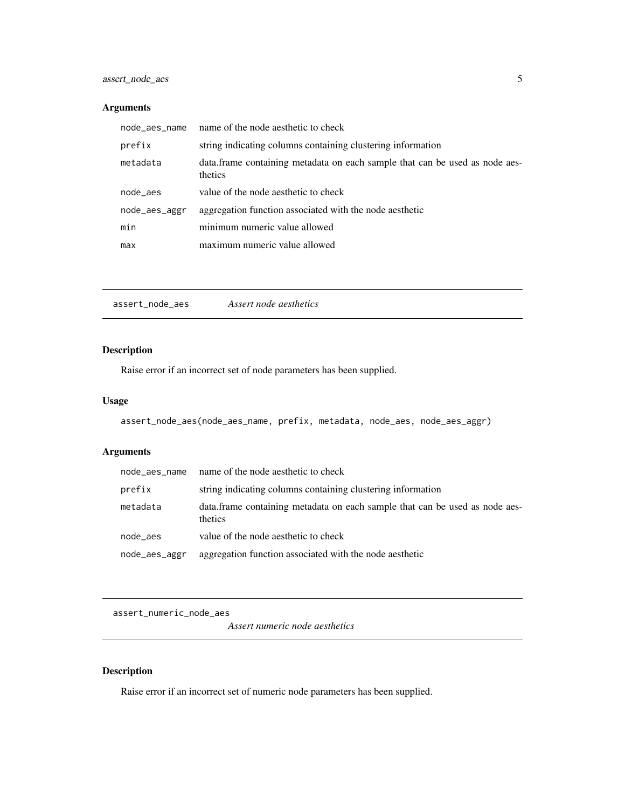## <span id="page-4-0"></span>Arguments

| node_aes_name | name of the node aesthetic to check                                                     |
|---------------|-----------------------------------------------------------------------------------------|
| prefix        | string indicating columns containing clustering information                             |
| metadata      | data. frame containing metadata on each sample that can be used as node aes-<br>thetics |
| node_aes      | value of the node aesthetic to check                                                    |
| node_aes_aggr | aggregation function associated with the node aesthetic                                 |
| min           | minimum numeric value allowed                                                           |
| max           | maximum numeric value allowed                                                           |

assert\_node\_aes *Assert node aesthetics*

## Description

Raise error if an incorrect set of node parameters has been supplied.

## Usage

```
assert_node_aes(node_aes_name, prefix, metadata, node_aes, node_aes_aggr)
```
## Arguments

| node aes name | name of the node aesthetic to check                                                     |
|---------------|-----------------------------------------------------------------------------------------|
| prefix        | string indicating columns containing clustering information                             |
| metadata      | data. frame containing metadata on each sample that can be used as node aes-<br>thetics |
| node_aes      | value of the node aesthetic to check                                                    |
| node_aes_aggr | aggregation function associated with the node aesthetic                                 |

assert\_numeric\_node\_aes

*Assert numeric node aesthetics*

## Description

Raise error if an incorrect set of numeric node parameters has been supplied.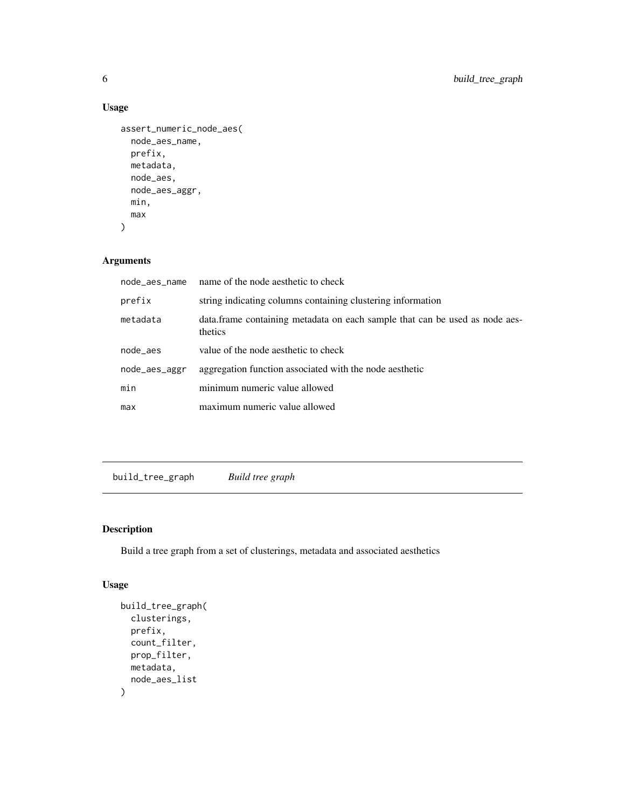## Usage

```
assert_numeric_node_aes(
  node_aes_name,
 prefix,
 metadata,
 node_aes,
 node_aes_aggr,
 min,
 max
)
```
## Arguments

| node_aes_name | name of the node aesthetic to check                                                     |
|---------------|-----------------------------------------------------------------------------------------|
| prefix        | string indicating columns containing clustering information                             |
| metadata      | data. frame containing metadata on each sample that can be used as node aes-<br>thetics |
| node_aes      | value of the node aesthetic to check                                                    |
| node_aes_aggr | aggregation function associated with the node aesthetic                                 |
| min           | minimum numeric value allowed                                                           |
| max           | maximum numeric value allowed                                                           |

build\_tree\_graph *Build tree graph*

## Description

Build a tree graph from a set of clusterings, metadata and associated aesthetics

## Usage

```
build_tree_graph(
  clusterings,
  prefix,
  count_filter,
  prop_filter,
  metadata,
  node_aes_list
\mathcal{E}
```
<span id="page-5-0"></span>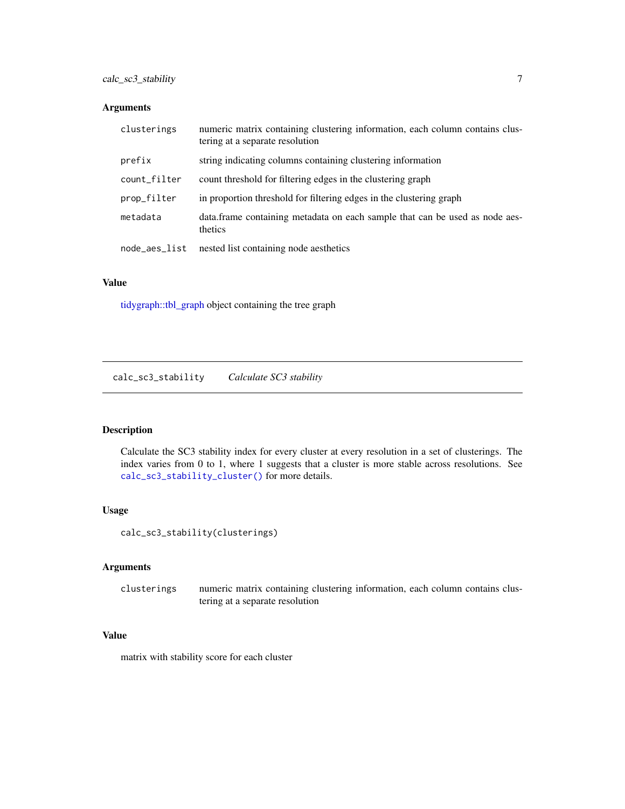## <span id="page-6-0"></span>Arguments

| clusterings   | numeric matrix containing clustering information, each column contains clus-<br>tering at a separate resolution |
|---------------|-----------------------------------------------------------------------------------------------------------------|
| prefix        | string indicating columns containing clustering information                                                     |
| count_filter  | count threshold for filtering edges in the clustering graph                                                     |
| prop_filter   | in proportion threshold for filtering edges in the clustering graph                                             |
| metadata      | data. frame containing metadata on each sample that can be used as node aes-<br>thetics                         |
| node_aes_list | nested list containing node aesthetics                                                                          |

#### Value

[tidygraph::tbl\\_graph](#page-0-0) object containing the tree graph

calc\_sc3\_stability *Calculate SC3 stability*

## Description

Calculate the SC3 stability index for every cluster at every resolution in a set of clusterings. The index varies from 0 to 1, where 1 suggests that a cluster is more stable across resolutions. See [calc\\_sc3\\_stability\\_cluster\(\)](#page-7-1) for more details.

## Usage

calc\_sc3\_stability(clusterings)

## Arguments

clusterings numeric matrix containing clustering information, each column contains clustering at a separate resolution

## Value

matrix with stability score for each cluster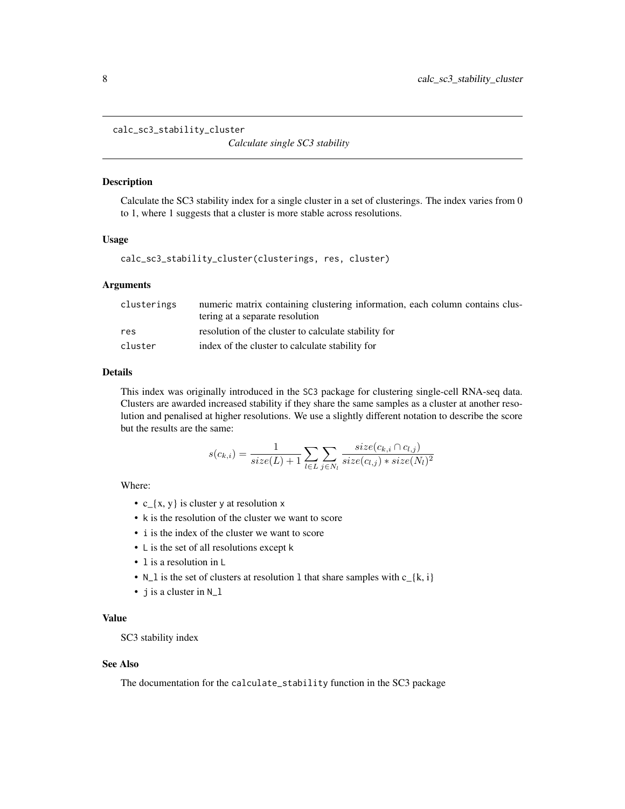```
calc_sc3_stability_cluster
```
*Calculate single SC3 stability*

#### Description

Calculate the SC3 stability index for a single cluster in a set of clusterings. The index varies from 0 to 1, where 1 suggests that a cluster is more stable across resolutions.

#### Usage

```
calc_sc3_stability_cluster(clusterings, res, cluster)
```
#### Arguments

| clusterings | numeric matrix containing clustering information, each column contains clus- |
|-------------|------------------------------------------------------------------------------|
|             | tering at a separate resolution                                              |
| res         | resolution of the cluster to calculate stability for                         |
| cluster     | index of the cluster to calculate stability for                              |

#### Details

This index was originally introduced in the SC3 package for clustering single-cell RNA-seq data. Clusters are awarded increased stability if they share the same samples as a cluster at another resolution and penalised at higher resolutions. We use a slightly different notation to describe the score but the results are the same:

$$
s(c_{k,i}) = \frac{1}{size(L)+1} \sum_{l \in L} \sum_{j \in N_l} \frac{size(c_{k,i} \cap c_{l,j})}{size(c_{l,j}) * size(N_l)^2}
$$

Where:

- $c_{x}$  (x, y is cluster y at resolution x
- k is the resolution of the cluster we want to score
- i is the index of the cluster we want to score
- L is the set of all resolutions except k
- l is a resolution in L
- N\_1 is the set of clusters at resolution 1 that share samples with  $c_{\text{A}}(k, i)$
- j is a cluster in N\_l

## Value

SC3 stability index

## See Also

The documentation for the calculate\_stability function in the SC3 package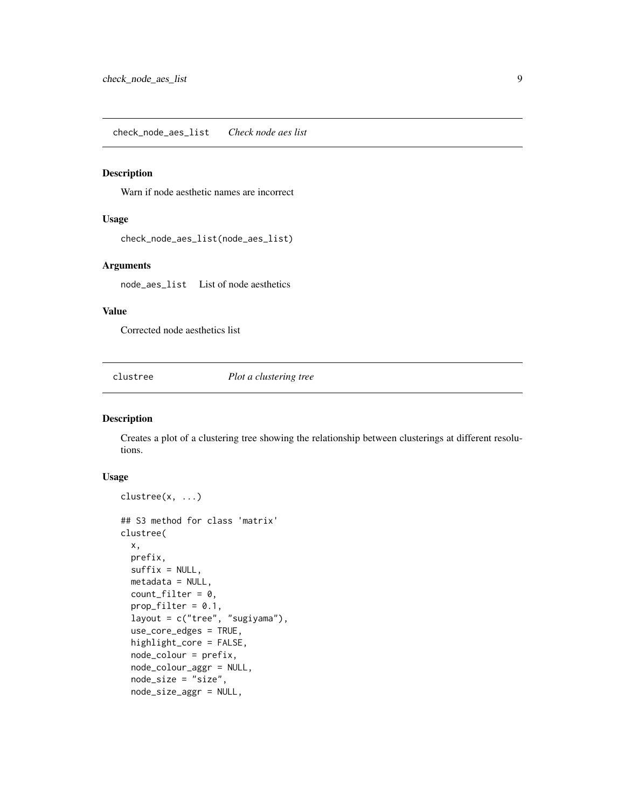<span id="page-8-0"></span>check\_node\_aes\_list *Check node aes list*

#### Description

Warn if node aesthetic names are incorrect

## Usage

check\_node\_aes\_list(node\_aes\_list)

## Arguments

node\_aes\_list List of node aesthetics

## Value

Corrected node aesthetics list

clustree *Plot a clustering tree*

## Description

Creates a plot of a clustering tree showing the relationship between clusterings at different resolutions.

#### Usage

```
clustree(x, ...)
## S3 method for class 'matrix'
clustree(
 x,
 prefix,
  suffix = NULL,metadata = NULL,
  count_fitter = 0,
  prop\_filter = 0.1,
  layout = c("tree", "sugiyama"),
  use_core_edges = TRUE,
  highlight_core = FALSE,
  node_colour = prefix,
  node_colour_aggr = NULL,
  node_size = "size",
  node_size_aggr = NULL,
```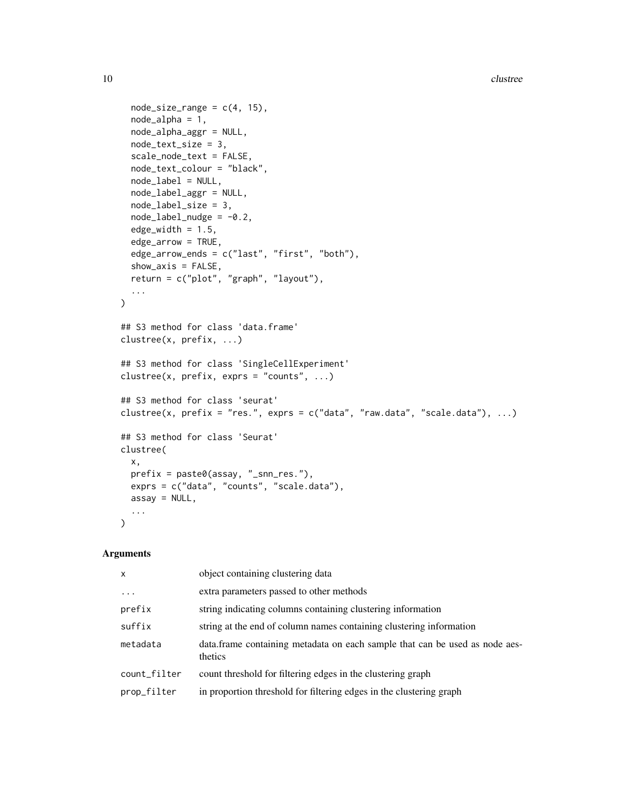```
node_size_range = c(4, 15),
  node_alpha = 1,
  node_alpha_aggr = NULL,
  node_text_size = 3,
  scale_node_text = FALSE,
  node_text_colour = "black",
  node_label = NULL,
  node_label_aggr = NULL,
  node_label_size = 3,
  node_labels_middle = -0.2,
  edge_width = 1.5,
  edge_arrow = TRUE,
  edge_arrow_ends = c("last", "first", "both"),
  show_axis = FALSE,
  return = c("plot", "graph", "layout"),
  ...
\mathcal{L}## S3 method for class 'data.frame'
clustree(x, prefix, ...)
## S3 method for class 'SingleCellExperiment'
clustree(x, prefix, exprs = "counts", ...)
## S3 method for class 'seurat'
clustree(x, prefix = "res.", exprs = c("data", "raw.data", "scale.data"), ...)
## S3 method for class 'Seurat'
clustree(
 x,
  prefix = paste0(assay, "_snn_res."),
 exprs = c("data", "counts", "scale.data"),
 assay = NULL,
  ...
\mathcal{L}
```
#### Arguments

| $\mathsf{x}$ | object containing clustering data                                                      |
|--------------|----------------------------------------------------------------------------------------|
| $\ddots$ .   | extra parameters passed to other methods                                               |
| prefix       | string indicating columns containing clustering information                            |
| suffix       | string at the end of column names containing clustering information                    |
| metadata     | data.frame containing metadata on each sample that can be used as node aes-<br>thetics |
| count_filter | count threshold for filtering edges in the clustering graph                            |
| prop_filter  | in proportion threshold for filtering edges in the clustering graph                    |
|              |                                                                                        |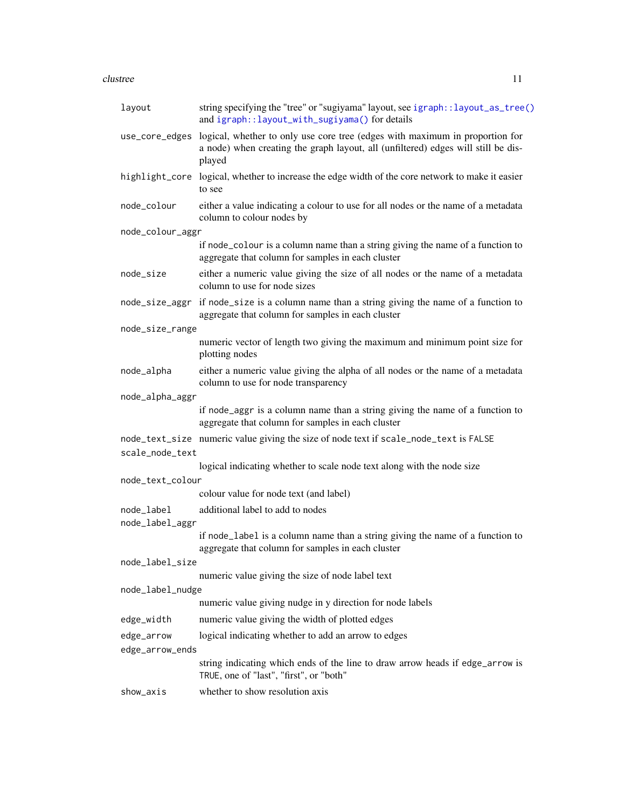#### <span id="page-10-0"></span>clustree 11

| layout                        | string specifying the "tree" or "sugiyama" layout, see igraph:: layout_as_tree()<br>and igraph::layout_with_sugiyama() for details                                                         |
|-------------------------------|--------------------------------------------------------------------------------------------------------------------------------------------------------------------------------------------|
|                               | use_core_edges logical, whether to only use core tree (edges with maximum in proportion for<br>a node) when creating the graph layout, all (unfiltered) edges will still be dis-<br>played |
|                               | highlight_core logical, whether to increase the edge width of the core network to make it easier<br>to see                                                                                 |
| node_colour                   | either a value indicating a colour to use for all nodes or the name of a metadata<br>column to colour nodes by                                                                             |
| node_colour_aggr              |                                                                                                                                                                                            |
|                               | if node_colour is a column name than a string giving the name of a function to<br>aggregate that column for samples in each cluster                                                        |
| node_size                     | either a numeric value giving the size of all nodes or the name of a metadata<br>column to use for node sizes                                                                              |
|                               | node_size_aggr if node_size is a column name than a string giving the name of a function to<br>aggregate that column for samples in each cluster                                           |
| node_size_range               |                                                                                                                                                                                            |
|                               | numeric vector of length two giving the maximum and minimum point size for<br>plotting nodes                                                                                               |
| node_alpha                    | either a numeric value giving the alpha of all nodes or the name of a metadata<br>column to use for node transparency                                                                      |
| node_alpha_aggr               |                                                                                                                                                                                            |
|                               | if node_aggr is a column name than a string giving the name of a function to<br>aggregate that column for samples in each cluster                                                          |
|                               | node_text_size numeric value giving the size of node text if scale_node_text is FALSE                                                                                                      |
| scale_node_text               |                                                                                                                                                                                            |
|                               | logical indicating whether to scale node text along with the node size                                                                                                                     |
| node_text_colour              |                                                                                                                                                                                            |
|                               | colour value for node text (and label)                                                                                                                                                     |
| node_label<br>node_label_aggr | additional label to add to nodes                                                                                                                                                           |
|                               | if node_label is a column name than a string giving the name of a function to<br>aggregate that column for samples in each cluster                                                         |
| node_label_size               |                                                                                                                                                                                            |
|                               | numeric value giving the size of node label text                                                                                                                                           |
| node_label_nudge              |                                                                                                                                                                                            |
|                               | numeric value giving nudge in y direction for node labels                                                                                                                                  |
| edge_width                    | numeric value giving the width of plotted edges                                                                                                                                            |
| edge_arrow                    | logical indicating whether to add an arrow to edges                                                                                                                                        |
| edge_arrow_ends               |                                                                                                                                                                                            |
|                               | string indicating which ends of the line to draw arrow heads if edge_arrow is<br>TRUE, one of "last", "first", or "both"                                                                   |
| show_axis                     | whether to show resolution axis                                                                                                                                                            |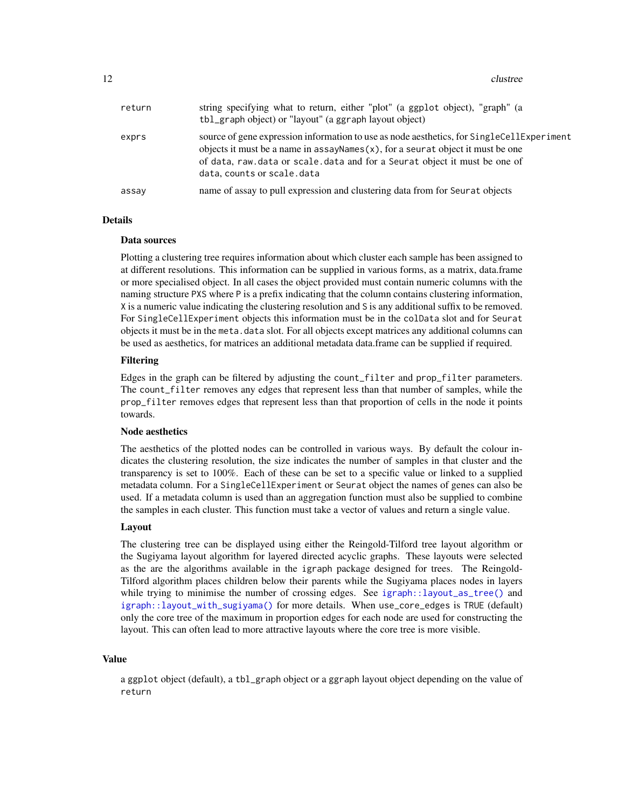<span id="page-11-0"></span>12 clustree

| return | string specifying what to return, either "plot" (a ggplot object), "graph" (a<br>tbl_graph object) or "layout" (a ggraph layout object)                                                                                                                                                     |
|--------|---------------------------------------------------------------------------------------------------------------------------------------------------------------------------------------------------------------------------------------------------------------------------------------------|
| exprs  | source of gene expression information to use as node aesthetics, for SingleCellExperiment<br>objects it must be a name in assay Names $(x)$ , for a seurat object it must be one<br>of data, raw.data or scale.data and for a Seurat object it must be one of<br>data, counts or scale.data |
| assay  | name of assay to pull expression and clustering data from for Seurat objects                                                                                                                                                                                                                |

#### Details

#### Data sources

Plotting a clustering tree requires information about which cluster each sample has been assigned to at different resolutions. This information can be supplied in various forms, as a matrix, data.frame or more specialised object. In all cases the object provided must contain numeric columns with the naming structure PXS where P is a prefix indicating that the column contains clustering information, X is a numeric value indicating the clustering resolution and S is any additional suffix to be removed. For SingleCellExperiment objects this information must be in the colData slot and for Seurat objects it must be in the meta.data slot. For all objects except matrices any additional columns can be used as aesthetics, for matrices an additional metadata data.frame can be supplied if required.

#### Filtering

Edges in the graph can be filtered by adjusting the count\_filter and prop\_filter parameters. The count\_filter removes any edges that represent less than that number of samples, while the prop\_filter removes edges that represent less than that proportion of cells in the node it points towards.

#### Node aesthetics

The aesthetics of the plotted nodes can be controlled in various ways. By default the colour indicates the clustering resolution, the size indicates the number of samples in that cluster and the transparency is set to 100%. Each of these can be set to a specific value or linked to a supplied metadata column. For a SingleCellExperiment or Seurat object the names of genes can also be used. If a metadata column is used than an aggregation function must also be supplied to combine the samples in each cluster. This function must take a vector of values and return a single value.

#### Layout

The clustering tree can be displayed using either the Reingold-Tilford tree layout algorithm or the Sugiyama layout algorithm for layered directed acyclic graphs. These layouts were selected as the are the algorithms available in the igraph package designed for trees. The Reingold-Tilford algorithm places children below their parents while the Sugiyama places nodes in layers while trying to minimise the number of crossing edges. See [igraph::layout\\_as\\_tree\(\)](#page-0-0) and [igraph::layout\\_with\\_sugiyama\(\)](#page-0-0) for more details. When use\_core\_edges is TRUE (default) only the core tree of the maximum in proportion edges for each node are used for constructing the layout. This can often lead to more attractive layouts where the core tree is more visible.

#### Value

a ggplot object (default), a tbl\_graph object or a ggraph layout object depending on the value of return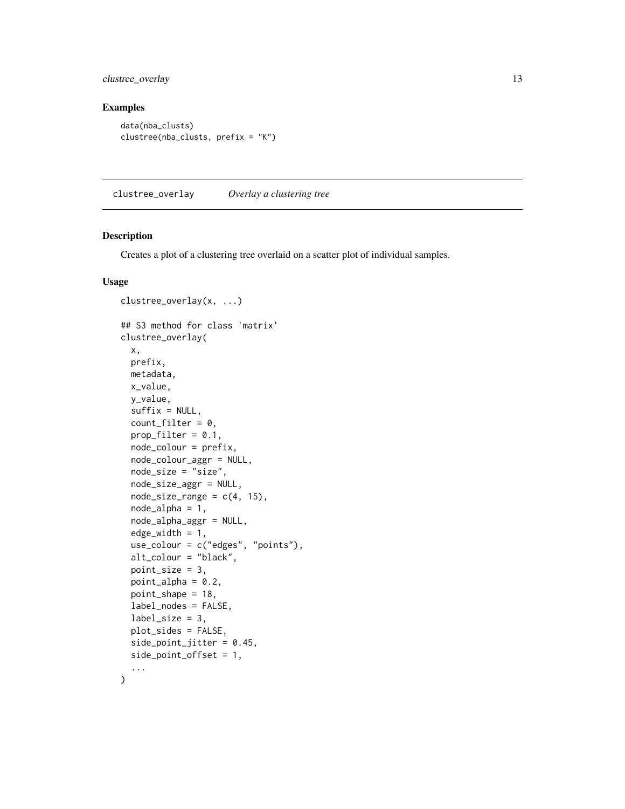<span id="page-12-0"></span>clustree\_overlay 13

## Examples

```
data(nba_clusts)
clustree(nba_clusts, prefix = "K")
```
clustree\_overlay *Overlay a clustering tree*

## Description

Creates a plot of a clustering tree overlaid on a scatter plot of individual samples.

#### Usage

```
clustree_overlay(x, ...)
## S3 method for class 'matrix'
clustree_overlay(
  x,
 prefix,
 metadata,
 x_value,
  y_value,
  sufficient = NULL,count_fitter = 0,
 prop\_filter = 0.1,
  node_colour = prefix,
  node_colour_aggr = NULL,
  node_size = "size",
  node_size_aggr = NULL,
  node_size_range = c(4, 15),
  node_alpha = 1,
  node_alpha_aggr = NULL,
  edge\_width = 1,use_colour = c("edges", "points"),
  alt_colour = "black",
  point_size = 3,
  point_alpha = 0.2,
  point_shape = 18,
  label_nodes = FALSE,
  label_size = 3,
  plot_sides = FALSE,
  side_point_jitter = 0.45,
  side_point_offset = 1,
  ...
\mathcal{L}
```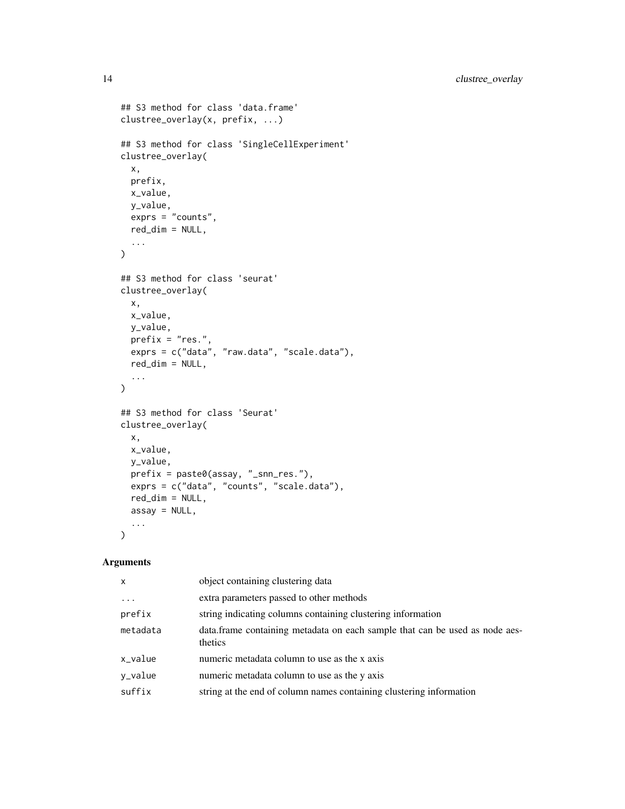```
## S3 method for class 'data.frame'
clustree_overlay(x, prefix, ...)
## S3 method for class 'SingleCellExperiment'
clustree_overlay(
 x,
 prefix,
 x_value,
 y_value,
 exprs = "counts",
 red_dim = NULL,
  ...
)
## S3 method for class 'seurat'
clustree_overlay(
 x,
 x_value,
 y_value,
 prefix = "res."exprs = c("data", "raw.data", "scale.data"),
 red\_dim = NULL,...
\mathcal{L}## S3 method for class 'Seurat'
clustree_overlay(
 x,
 x_value,
 y_value,
 prefix = paste0(assay, "_snn_res."),
 exprs = c("data", "counts", "scale.data"),
 red_dim = NULL,
 assay = NULL,...
\mathcal{L}
```
#### Arguments

| object containing clustering data                                                       |
|-----------------------------------------------------------------------------------------|
| extra parameters passed to other methods                                                |
| string indicating columns containing clustering information                             |
| data. frame containing metadata on each sample that can be used as node aes-<br>thetics |
| numeric metadata column to use as the x axis                                            |
| numeric metadata column to use as the y axis                                            |
| string at the end of column names containing clustering information                     |
|                                                                                         |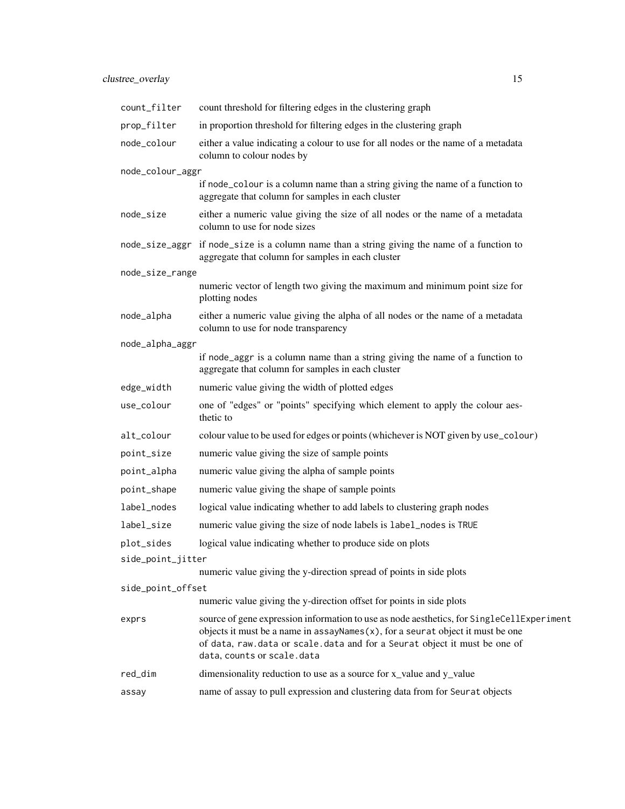| count_filter      | count threshold for filtering edges in the clustering graph                                                                                                                                                                                                                               |  |
|-------------------|-------------------------------------------------------------------------------------------------------------------------------------------------------------------------------------------------------------------------------------------------------------------------------------------|--|
| prop_filter       | in proportion threshold for filtering edges in the clustering graph                                                                                                                                                                                                                       |  |
| node_colour       | either a value indicating a colour to use for all nodes or the name of a metadata<br>column to colour nodes by                                                                                                                                                                            |  |
| node_colour_aggr  |                                                                                                                                                                                                                                                                                           |  |
|                   | if node_colour is a column name than a string giving the name of a function to<br>aggregate that column for samples in each cluster                                                                                                                                                       |  |
| node_size         | either a numeric value giving the size of all nodes or the name of a metadata<br>column to use for node sizes                                                                                                                                                                             |  |
| node_size_aggr    | if node_size is a column name than a string giving the name of a function to<br>aggregate that column for samples in each cluster                                                                                                                                                         |  |
| node_size_range   |                                                                                                                                                                                                                                                                                           |  |
|                   | numeric vector of length two giving the maximum and minimum point size for<br>plotting nodes                                                                                                                                                                                              |  |
| node_alpha        | either a numeric value giving the alpha of all nodes or the name of a metadata<br>column to use for node transparency                                                                                                                                                                     |  |
| node_alpha_aggr   |                                                                                                                                                                                                                                                                                           |  |
|                   | if node_aggr is a column name than a string giving the name of a function to<br>aggregate that column for samples in each cluster                                                                                                                                                         |  |
| edge_width        | numeric value giving the width of plotted edges                                                                                                                                                                                                                                           |  |
| use_colour        | one of "edges" or "points" specifying which element to apply the colour aes-<br>thetic to                                                                                                                                                                                                 |  |
| alt_colour        | colour value to be used for edges or points (whichever is NOT given by use_colour)                                                                                                                                                                                                        |  |
| point_size        | numeric value giving the size of sample points                                                                                                                                                                                                                                            |  |
| point_alpha       | numeric value giving the alpha of sample points                                                                                                                                                                                                                                           |  |
| point_shape       | numeric value giving the shape of sample points                                                                                                                                                                                                                                           |  |
| label_nodes       | logical value indicating whether to add labels to clustering graph nodes                                                                                                                                                                                                                  |  |
| label_size        | numeric value giving the size of node labels is label_nodes is TRUE                                                                                                                                                                                                                       |  |
| plot_sides        | logical value indicating whether to produce side on plots                                                                                                                                                                                                                                 |  |
| side_point_jitter |                                                                                                                                                                                                                                                                                           |  |
|                   | numeric value giving the y-direction spread of points in side plots                                                                                                                                                                                                                       |  |
| side_point_offset |                                                                                                                                                                                                                                                                                           |  |
|                   | numeric value giving the y-direction offset for points in side plots                                                                                                                                                                                                                      |  |
| exprs             | source of gene expression information to use as node aesthetics, for SingleCellExperiment<br>objects it must be a name in $assayNames(x)$ , for a seurat object it must be one<br>of data, raw.data or scale.data and for a Seurat object it must be one of<br>data, counts or scale.data |  |
| red_dim           | dimensionality reduction to use as a source for x_value and y_value                                                                                                                                                                                                                       |  |
| assay             | name of assay to pull expression and clustering data from for Seurat objects                                                                                                                                                                                                              |  |
|                   |                                                                                                                                                                                                                                                                                           |  |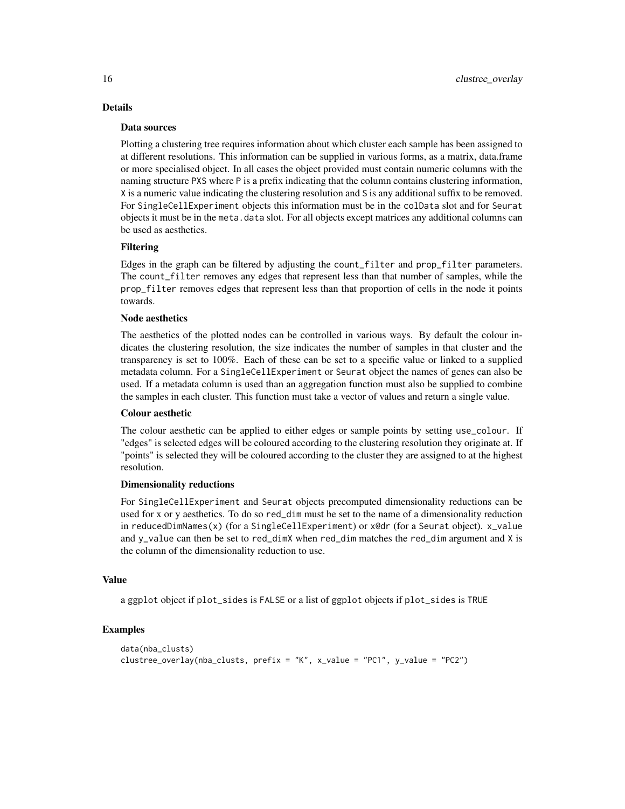## Details

#### Data sources

Plotting a clustering tree requires information about which cluster each sample has been assigned to at different resolutions. This information can be supplied in various forms, as a matrix, data.frame or more specialised object. In all cases the object provided must contain numeric columns with the naming structure PXS where P is a prefix indicating that the column contains clustering information, X is a numeric value indicating the clustering resolution and S is any additional suffix to be removed. For SingleCellExperiment objects this information must be in the colData slot and for Seurat objects it must be in the meta.data slot. For all objects except matrices any additional columns can be used as aesthetics.

#### Filtering

Edges in the graph can be filtered by adjusting the count\_filter and prop\_filter parameters. The count\_filter removes any edges that represent less than that number of samples, while the prop\_filter removes edges that represent less than that proportion of cells in the node it points towards.

#### Node aesthetics

The aesthetics of the plotted nodes can be controlled in various ways. By default the colour indicates the clustering resolution, the size indicates the number of samples in that cluster and the transparency is set to 100%. Each of these can be set to a specific value or linked to a supplied metadata column. For a SingleCellExperiment or Seurat object the names of genes can also be used. If a metadata column is used than an aggregation function must also be supplied to combine the samples in each cluster. This function must take a vector of values and return a single value.

#### Colour aesthetic

The colour aesthetic can be applied to either edges or sample points by setting use\_colour. If "edges" is selected edges will be coloured according to the clustering resolution they originate at. If "points" is selected they will be coloured according to the cluster they are assigned to at the highest resolution.

#### Dimensionality reductions

For SingleCellExperiment and Seurat objects precomputed dimensionality reductions can be used for x or y aesthetics. To do so red\_dim must be set to the name of a dimensionality reduction in reducedDimNames(x) (for a SingleCellExperiment) or x@dr (for a Seurat object). x\_value and y\_value can then be set to red\_dimX when red\_dim matches the red\_dim argument and X is the column of the dimensionality reduction to use.

#### Value

a ggplot object if plot\_sides is FALSE or a list of ggplot objects if plot\_sides is TRUE

## Examples

```
data(nba_clusts)
clustree_overlay(nba_clusts, prefix = "K", x_value = "PC1", y_value = "PC2")
```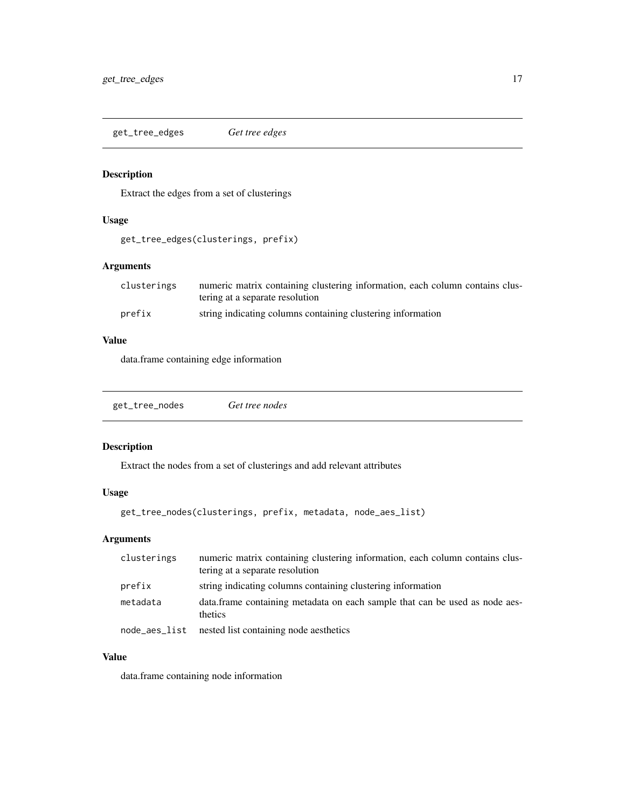<span id="page-16-0"></span>get\_tree\_edges *Get tree edges*

## Description

Extract the edges from a set of clusterings

## Usage

get\_tree\_edges(clusterings, prefix)

## Arguments

| clusterings | numeric matrix containing clustering information, each column contains clus- |
|-------------|------------------------------------------------------------------------------|
|             | tering at a separate resolution                                              |
| prefix      | string indicating columns containing clustering information                  |

## Value

data.frame containing edge information

| get_tree_nodes | Get tree nodes |
|----------------|----------------|
|                |                |

## Description

Extract the nodes from a set of clusterings and add relevant attributes

#### Usage

```
get_tree_nodes(clusterings, prefix, metadata, node_aes_list)
```
## Arguments

| clusterings   | numeric matrix containing clustering information, each column contains clus-<br>tering at a separate resolution |
|---------------|-----------------------------------------------------------------------------------------------------------------|
| prefix        | string indicating columns containing clustering information                                                     |
| metadata      | data. frame containing metadata on each sample that can be used as node aes-<br>thetics                         |
| node_aes_list | nested list containing node aesthetics                                                                          |

## Value

data.frame containing node information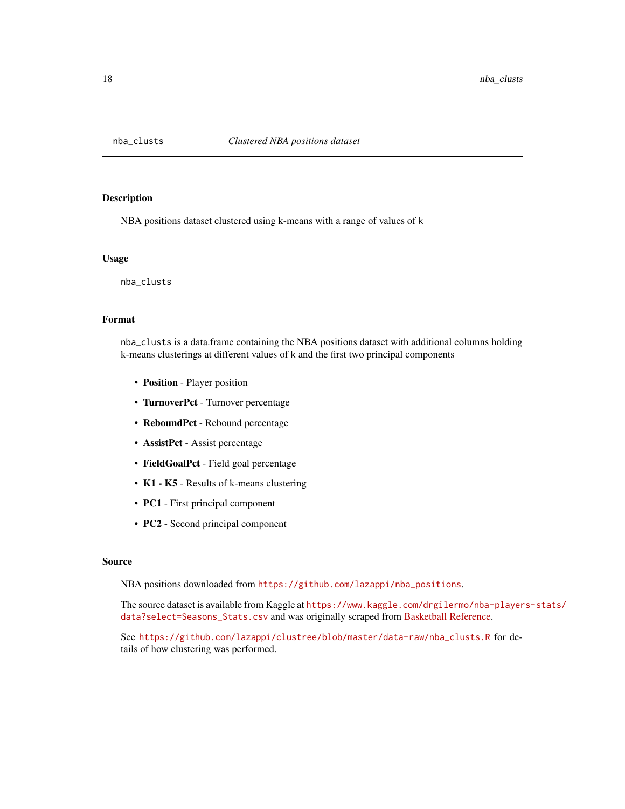<span id="page-17-0"></span>

#### Description

NBA positions dataset clustered using k-means with a range of values of k

#### Usage

nba\_clusts

## Format

nba\_clusts is a data.frame containing the NBA positions dataset with additional columns holding k-means clusterings at different values of k and the first two principal components

- Position Player position
- TurnoverPct Turnover percentage
- ReboundPct Rebound percentage
- AssistPct Assist percentage
- FieldGoalPct Field goal percentage
- K1 K5 Results of k-means clustering
- PC1 First principal component
- PC2 Second principal component

#### Source

NBA positions downloaded from [https://github.com/lazappi/nba\\_positions](https://github.com/lazappi/nba_positions).

The source dataset is available from Kaggle at [https://www.kaggle.com/drgilermo/nba-player](https://www.kaggle.com/drgilermo/nba-players-stats/data?select=Seasons_Stats.csv)s-stats/ [data?select=Seasons\\_Stats.csv](https://www.kaggle.com/drgilermo/nba-players-stats/data?select=Seasons_Stats.csv) and was originally scraped from [Basketball Reference.](http://www.basketball-reference.com/)

See [https://github.com/lazappi/clustree/blob/master/data-raw/nba\\_clusts.R](https://github.com/lazappi/clustree/blob/master/data-raw/nba_clusts.R) for details of how clustering was performed.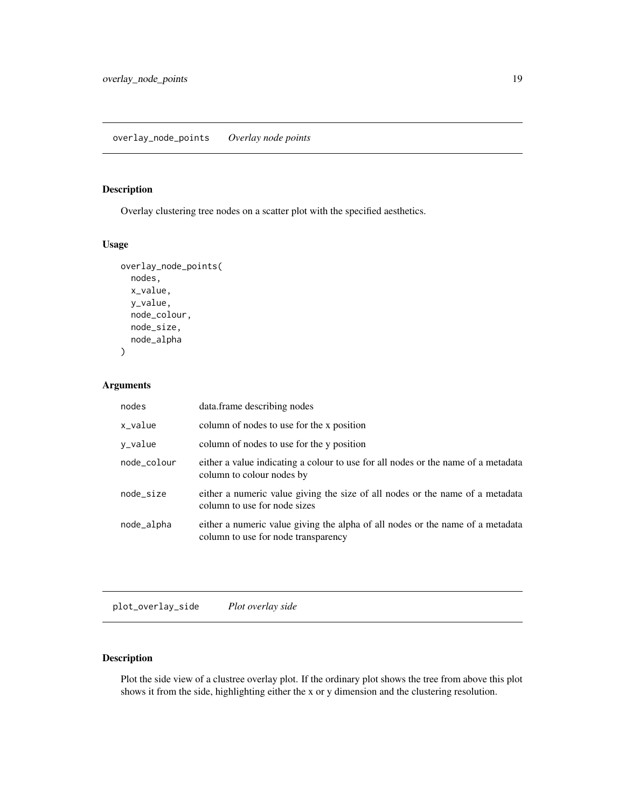## <span id="page-18-0"></span>Description

Overlay clustering tree nodes on a scatter plot with the specified aesthetics.

#### Usage

```
overlay_node_points(
 nodes,
  x_value,
 y_value,
 node_colour,
 node_size,
  node_alpha
)
```
## Arguments

| nodes       | data.frame describing nodes                                                                                           |
|-------------|-----------------------------------------------------------------------------------------------------------------------|
| x_value     | column of nodes to use for the x position                                                                             |
| y_value     | column of nodes to use for the y position                                                                             |
| node_colour | either a value indicating a colour to use for all nodes or the name of a metadata<br>column to colour nodes by        |
| node_size   | either a numeric value giving the size of all nodes or the name of a metadata<br>column to use for node sizes         |
| node_alpha  | either a numeric value giving the alpha of all nodes or the name of a metadata<br>column to use for node transparency |

plot\_overlay\_side *Plot overlay side*

## Description

Plot the side view of a clustree overlay plot. If the ordinary plot shows the tree from above this plot shows it from the side, highlighting either the x or y dimension and the clustering resolution.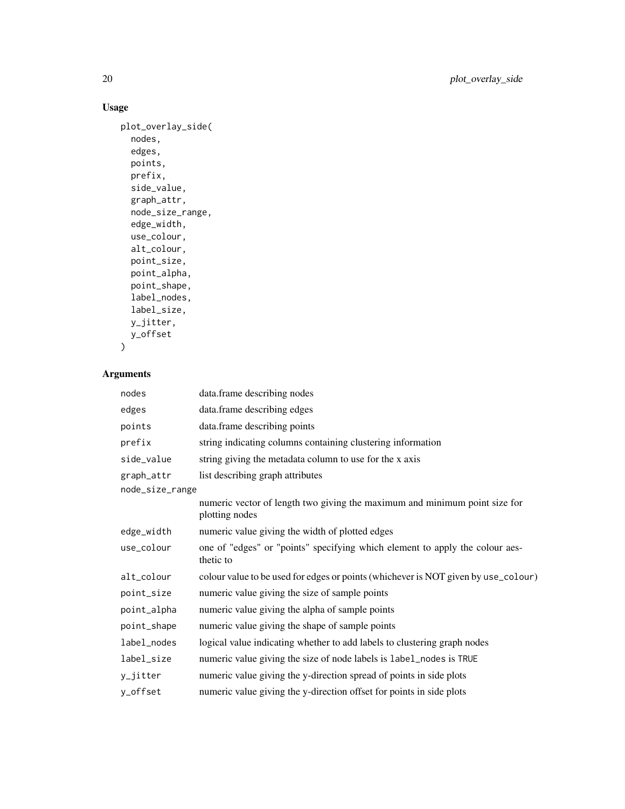## Usage

```
plot_overlay_side(
 nodes,
  edges,
 points,
 prefix,
 side_value,
 graph_attr,
 node_size_range,
 edge_width,
 use_colour,
 alt_colour,
 point_size,
 point_alpha,
 point_shape,
  label_nodes,
 label_size,
 y_jitter,
 y_offset
```

```
)
```
## Arguments

| nodes           | data.frame describing nodes                                                                  |
|-----------------|----------------------------------------------------------------------------------------------|
| edges           | data.frame describing edges                                                                  |
| points          | data.frame describing points                                                                 |
| prefix          | string indicating columns containing clustering information                                  |
| side_value      | string giving the metadata column to use for the x axis                                      |
| graph_attr      | list describing graph attributes                                                             |
| node_size_range |                                                                                              |
|                 | numeric vector of length two giving the maximum and minimum point size for<br>plotting nodes |
| edge_width      | numeric value giving the width of plotted edges                                              |
| use_colour      | one of "edges" or "points" specifying which element to apply the colour aes-<br>thetic to    |
| alt_colour      | colour value to be used for edges or points (whichever is NOT given by use_colour)           |
| point_size      | numeric value giving the size of sample points                                               |
| point_alpha     | numeric value giving the alpha of sample points                                              |
| point_shape     | numeric value giving the shape of sample points                                              |
| label_nodes     | logical value indicating whether to add labels to clustering graph nodes                     |
| label_size      | numeric value giving the size of node labels is label_nodes is TRUE                          |
| y_jitter        | numeric value giving the y-direction spread of points in side plots                          |
| y_offset        | numeric value giving the y-direction offset for points in side plots                         |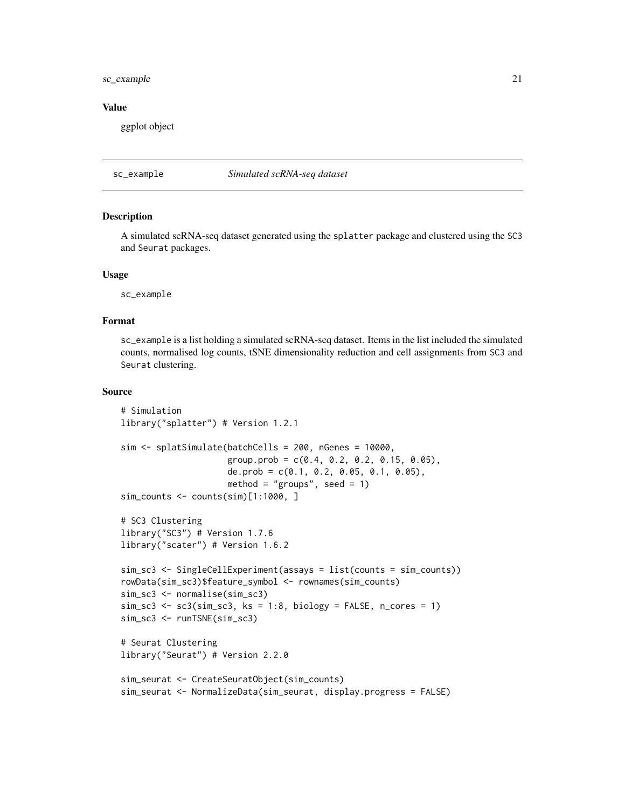#### <span id="page-20-0"></span>sc\_example 21

#### Value

ggplot object

sc\_example *Simulated scRNA-seq dataset*

#### Description

A simulated scRNA-seq dataset generated using the splatter package and clustered using the SC3 and Seurat packages.

#### Usage

sc\_example

#### Format

sc\_example is a list holding a simulated scRNA-seq dataset. Items in the list included the simulated counts, normalised log counts, tSNE dimensionality reduction and cell assignments from SC3 and Seurat clustering.

#### Source

```
# Simulation
library("splatter") # Version 1.2.1
sim <- splatSimulate(batchCells = 200, nGenes = 10000,
                     group.prob = c(0.4, 0.2, 0.2, 0.15, 0.05),
                     de.prob = c(0.1, 0.2, 0.05, 0.1, 0.05),
                     method = "groups", seed = 1)
sim_counts <- counts(sim)[1:1000, ]
# SC3 Clustering
library("SC3") # Version 1.7.6
library("scater") # Version 1.6.2
sim_sc3 <- SingleCellExperiment(assays = list(counts = sim_counts))
rowData(sim_sc3)$feature_symbol <- rownames(sim_counts)
sim_sc3 <- normalise(sim_sc3)
sim\_sc3 <- sc3(sim\_sc3, ks = 1:8, biology = FALSE, n\_cores = 1)sim_sc3 <- runTSNE(sim_sc3)
# Seurat Clustering
library("Seurat") # Version 2.2.0
sim_seurat <- CreateSeuratObject(sim_counts)
sim_seurat <- NormalizeData(sim_seurat, display.progress = FALSE)
```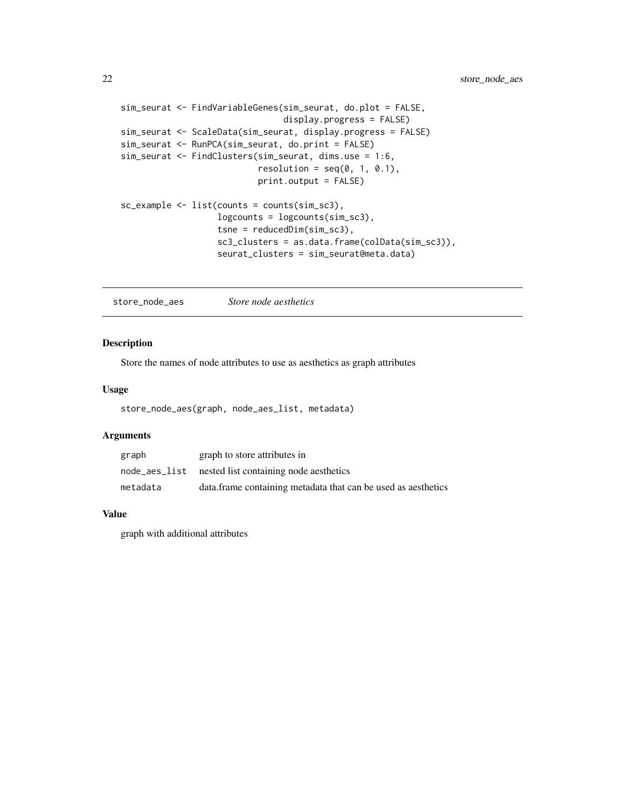```
sim_seurat <- FindVariableGenes(sim_seurat, do.plot = FALSE,
                                display.progress = FALSE)
sim_seurat <- ScaleData(sim_seurat, display.progress = FALSE)
sim_seurat <- RunPCA(sim_seurat, do.print = FALSE)
sim_seurat <- FindClusters(sim_seurat, dims.use = 1:6,
                           resolution = seq(0, 1, 0.1),
                           print.output = FALSE)
sc_example <- list(counts = counts(sim_sc3),
                   logcounts = logcounts(sim_sc3),
                   tsne = reducedDim(sim_sc3),
                   sc3_clusters = as.data.frame(colData(sim_sc3)),
                   seurat_clusters = sim_seurat@meta.data)
```
store\_node\_aes *Store node aesthetics*

## Description

Store the names of node attributes to use as aesthetics as graph attributes

#### Usage

```
store_node_aes(graph, node_aes_list, metadata)
```
#### Arguments

| graph         | graph to store attributes in                                  |
|---------------|---------------------------------------------------------------|
| node_aes_list | nested list containing node aesthetics                        |
| metadata      | data.frame containing metadata that can be used as aesthetics |

#### Value

graph with additional attributes